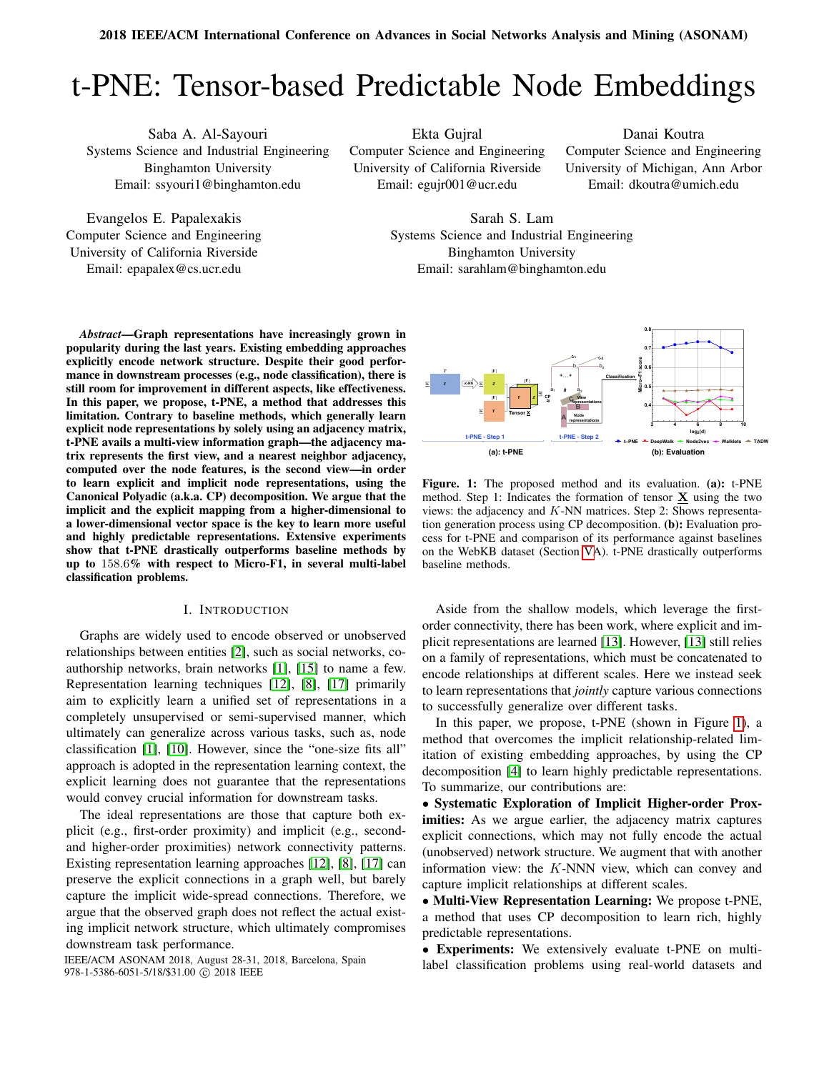# t-PNE: Tensor-based Predictable Node Embeddings

Saba A. Al-Sayouri Systems Science and Industrial Engineering Binghamton University Email: ssyouri1@binghamton.edu

Evangelos E. Papalexakis Computer Science and Engineering University of California Riverside Email: epapalex@cs.ucr.edu

Ekta Gujral Computer Science and Engineering University of California Riverside Email: egujr001@ucr.edu

Danai Koutra Computer Science and Engineering University of Michigan, Ann Arbor Email: dkoutra@umich.edu

Sarah S. Lam Systems Science and Industrial Engineering Binghamton University Email: sarahlam@binghamton.edu

*Abstract*—Graph representations have increasingly grown in popularity during the last years. Existing embedding approaches explicitly encode network structure. Despite their good performance in downstream processes (e.g., node classification), there is still room for improvement in different aspects, like effectiveness. In this paper, we propose, t-PNE, a method that addresses this limitation. Contrary to baseline methods, which generally learn explicit node representations by solely using an adjacency matrix, t-PNE avails a multi-view information graph—the adjacency matrix represents the first view, and a nearest neighbor adjacency, computed over the node features, is the second view—in order to learn explicit and implicit node representations, using the Canonical Polyadic (a.k.a. CP) decomposition. We argue that the implicit and the explicit mapping from a higher-dimensional to a lower-dimensional vector space is the key to learn more useful and highly predictable representations. Extensive experiments show that t-PNE drastically outperforms baseline methods by up to 158.6% with respect to Micro-F1, in several multi-label classification problems.

## I. INTRODUCTION

Graphs are widely used to encode observed or unobserved relationships between entities [\[2\]](#page-3-0), such as social networks, coauthorship networks, brain networks [\[1\]](#page-3-1), [\[15\]](#page-3-2) to name a few. Representation learning techniques [\[12\]](#page-3-3), [\[8\]](#page-3-4), [\[17\]](#page-3-5) primarily aim to explicitly learn a unified set of representations in a completely unsupervised or semi-supervised manner, which ultimately can generalize across various tasks, such as, node classification [\[1\]](#page-3-1), [\[10\]](#page-3-6). However, since the "one-size fits all" approach is adopted in the representation learning context, the explicit learning does not guarantee that the representations would convey crucial information for downstream tasks.

The ideal representations are those that capture both explicit (e.g., first-order proximity) and implicit (e.g., secondand higher-order proximities) network connectivity patterns. Existing representation learning approaches [\[12\]](#page-3-3), [\[8\]](#page-3-4), [\[17\]](#page-3-5) can preserve the explicit connections in a graph well, but barely capture the implicit wide-spread connections. Therefore, we argue that the observed graph does not reflect the actual existing implicit network structure, which ultimately compromises downstream task performance.

978-1-5386-6051-5/18/\$31.00 © 2018 IEEE

Figure. 1: The proposed method and its evaluation. (a): t-PNE method. Step 1: Indicates the formation of tensor  $\underline{\mathbf{X}}$  using the two views: the adjacency and K-NN matrices. Step 2: Shows representation generation process using CP decomposition. (b): Evaluation process for t-PNE and comparison of its performance against baselines on the WebKB dataset (Section [VA](#page-2-0)). t-PNE drastically outperforms baseline methods.

Aside from the shallow models, which leverage the firstorder connectivity, there has been work, where explicit and implicit representations are learned [\[13\]](#page-3-7). However, [\[13\]](#page-3-7) still relies on a family of representations, which must be concatenated to encode relationships at different scales. Here we instead seek to learn representations that *jointly* capture various connections to successfully generalize over different tasks.

In this paper, we propose, t-PNE (shown in Figure [1\)](#page-0-0), a method that overcomes the implicit relationship-related limitation of existing embedding approaches, by using the CP decomposition [\[4\]](#page-3-8) to learn highly predictable representations. To summarize, our contributions are:

• Systematic Exploration of Implicit Higher-order Proximities: As we argue earlier, the adjacency matrix captures explicit connections, which may not fully encode the actual (unobserved) network structure. We augment that with another information view: the  $K$ -NNN view, which can convey and capture implicit relationships at different scales.

• Multi-View Representation Learning: We propose t-PNE, a method that uses CP decomposition to learn rich, highly predictable representations.

• Experiments: We extensively evaluate t-PNE on multi-IEEE/ACM ASONAM 2018, August 28-31, 2018, Barcelona, Spain Iabel classification problems using real-world datasets and

<span id="page-0-0"></span>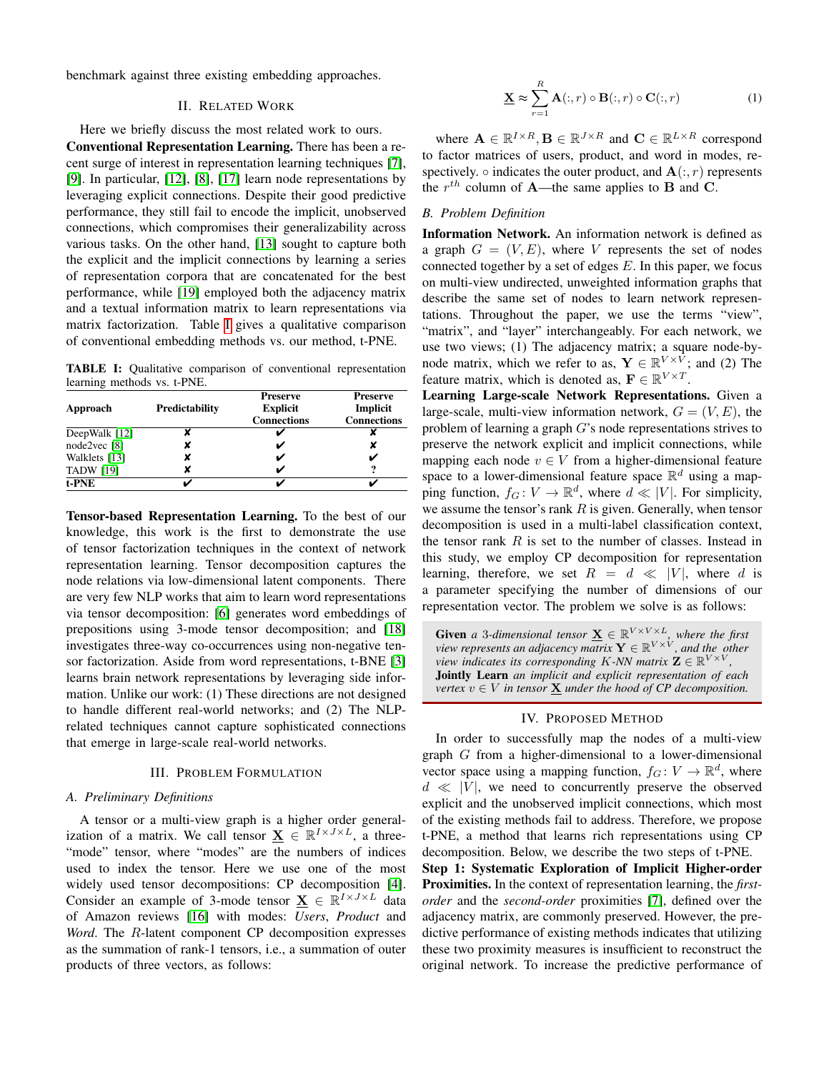benchmark against three existing embedding approaches.

### II. RELATED WORK

Here we briefly discuss the most related work to ours.

Conventional Representation Learning. There has been a recent surge of interest in representation learning techniques [\[7\]](#page-3-9), [\[9\]](#page-3-10). In particular, [\[12\]](#page-3-3), [\[8\]](#page-3-4), [\[17\]](#page-3-5) learn node representations by leveraging explicit connections. Despite their good predictive performance, they still fail to encode the implicit, unobserved connections, which compromises their generalizability across various tasks. On the other hand, [\[13\]](#page-3-7) sought to capture both the explicit and the implicit connections by learning a series of representation corpora that are concatenated for the best performance, while [\[19\]](#page-3-11) employed both the adjacency matrix and a textual information matrix to learn representations via matrix factorization. Table [I](#page-1-0) gives a qualitative comparison of conventional embedding methods vs. our method, t-PNE.

<span id="page-1-0"></span>TABLE I: Qualitative comparison of conventional representation learning methods vs. t-PNE.

|                  |                | <b>Preserve</b>    | <b>Preserve</b>    |  |  |
|------------------|----------------|--------------------|--------------------|--|--|
| Approach         | Predictability | <b>Explicit</b>    | Implicit           |  |  |
|                  |                | <b>Connections</b> | <b>Connections</b> |  |  |
| DeepWalk [12]    |                |                    |                    |  |  |
| node2vec [8]     |                |                    |                    |  |  |
| Walklets [13]    |                |                    |                    |  |  |
| <b>TADW [19]</b> |                |                    | ം                  |  |  |
| t-PNE            |                |                    |                    |  |  |

Tensor-based Representation Learning. To the best of our knowledge, this work is the first to demonstrate the use of tensor factorization techniques in the context of network representation learning. Tensor decomposition captures the node relations via low-dimensional latent components. There are very few NLP works that aim to learn word representations via tensor decomposition: [\[6\]](#page-3-12) generates word embeddings of prepositions using 3-mode tensor decomposition; and [\[18\]](#page-3-13) investigates three-way co-occurrences using non-negative tensor factorization. Aside from word representations, t-BNE [\[3\]](#page-3-14) learns brain network representations by leveraging side information. Unlike our work: (1) These directions are not designed to handle different real-world networks; and (2) The NLPrelated techniques cannot capture sophisticated connections that emerge in large-scale real-world networks.

#### III. PROBLEM FORMULATION

## *A. Preliminary Definitions*

A tensor or a multi-view graph is a higher order generalization of a matrix. We call tensor  $\underline{\mathbf{X}} \in \mathbb{R}^{I \times J \times L}$ , a three-"mode" tensor, where "modes" are the numbers of indices used to index the tensor. Here we use one of the most widely used tensor decompositions: CP decomposition [\[4\]](#page-3-8). Consider an example of 3-mode tensor  $\underline{\mathbf{X}} \in \mathbb{R}^{I \times J \times L}$  data of Amazon reviews [\[16\]](#page-3-15) with modes: *Users*, *Product* and *Word*. The R-latent component CP decomposition expresses as the summation of rank-1 tensors, i.e., a summation of outer products of three vectors, as follows:

$$
\underline{\mathbf{X}} \approx \sum_{r=1}^{R} \mathbf{A}(:,r) \circ \mathbf{B}(:,r) \circ \mathbf{C}(:,r)
$$
 (1)

where  $\mathbf{A} \in \mathbb{R}^{I \times R}$ ,  $\mathbf{B} \in \mathbb{R}^{J \times R}$  and  $\mathbf{C} \in \mathbb{R}^{L \times R}$  correspond to factor matrices of users, product, and word in modes, respectively.  $\circ$  indicates the outer product, and  $\mathbf{A}(:,r)$  represents the  $r^{th}$  column of **A**—the same applies to **B** and **C**.

## *B. Problem Definition*

Information Network. An information network is defined as a graph  $G = (V, E)$ , where V represents the set of nodes connected together by a set of edges  $E$ . In this paper, we focus on multi-view undirected, unweighted information graphs that describe the same set of nodes to learn network representations. Throughout the paper, we use the terms "view", "matrix", and "layer" interchangeably. For each network, we use two views; (1) The adjacency matrix; a square node-bynode matrix, which we refer to as,  $\mathbf{Y} \in \mathbb{R}^{V \times V}$ ; and (2) The feature matrix, which is denoted as,  $\mathbf{F} \in \mathbb{R}^{V \times T}$ .

Learning Large-scale Network Representations. Given a large-scale, multi-view information network,  $G = (V, E)$ , the problem of learning a graph  $G$ 's node representations strives to preserve the network explicit and implicit connections, while mapping each node  $v \in V$  from a higher-dimensional feature space to a lower-dimensional feature space  $\mathbb{R}^d$  using a mapping function,  $f_G: V \to \mathbb{R}^d$ , where  $d \ll |V|$ . For simplicity, we assume the tensor's rank  $R$  is given. Generally, when tensor decomposition is used in a multi-label classification context, the tensor rank  $R$  is set to the number of classes. Instead in this study, we employ CP decomposition for representation learning, therefore, we set  $R = d \ll |V|$ , where d is a parameter specifying the number of dimensions of our representation vector. The problem we solve is as follows:

**Given** a 3-dimensional tensor  $\underline{\mathbf{X}} \in \mathbb{R}^{V \times V \times L}$ , where the first view represents an adjacency matrix  $\mathbf{Y} \in \mathbb{R}^{V \times V}$ , and the other view indicates its corresponding K-NN matrix  $\mathbf{Z} \in \mathbb{R}^{V \times V}$ *,* Jointly Learn *an implicit and explicit representation of each vertex*  $v \in V$  *in tensor*  $\underline{\mathbf{X}}$  *under the hood of CP decomposition.* 

#### IV. PROPOSED METHOD

In order to successfully map the nodes of a multi-view graph G from a higher-dimensional to a lower-dimensional vector space using a mapping function,  $f_G: V \to \mathbb{R}^d$ , where  $d \ll |V|$ , we need to concurrently preserve the observed explicit and the unobserved implicit connections, which most of the existing methods fail to address. Therefore, we propose t-PNE, a method that learns rich representations using CP decomposition. Below, we describe the two steps of t-PNE. Step 1: Systematic Exploration of Implicit Higher-order Proximities. In the context of representation learning, the *firstorder* and the *second-order* proximities [\[7\]](#page-3-9), defined over the adjacency matrix, are commonly preserved. However, the predictive performance of existing methods indicates that utilizing these two proximity measures is insufficient to reconstruct the original network. To increase the predictive performance of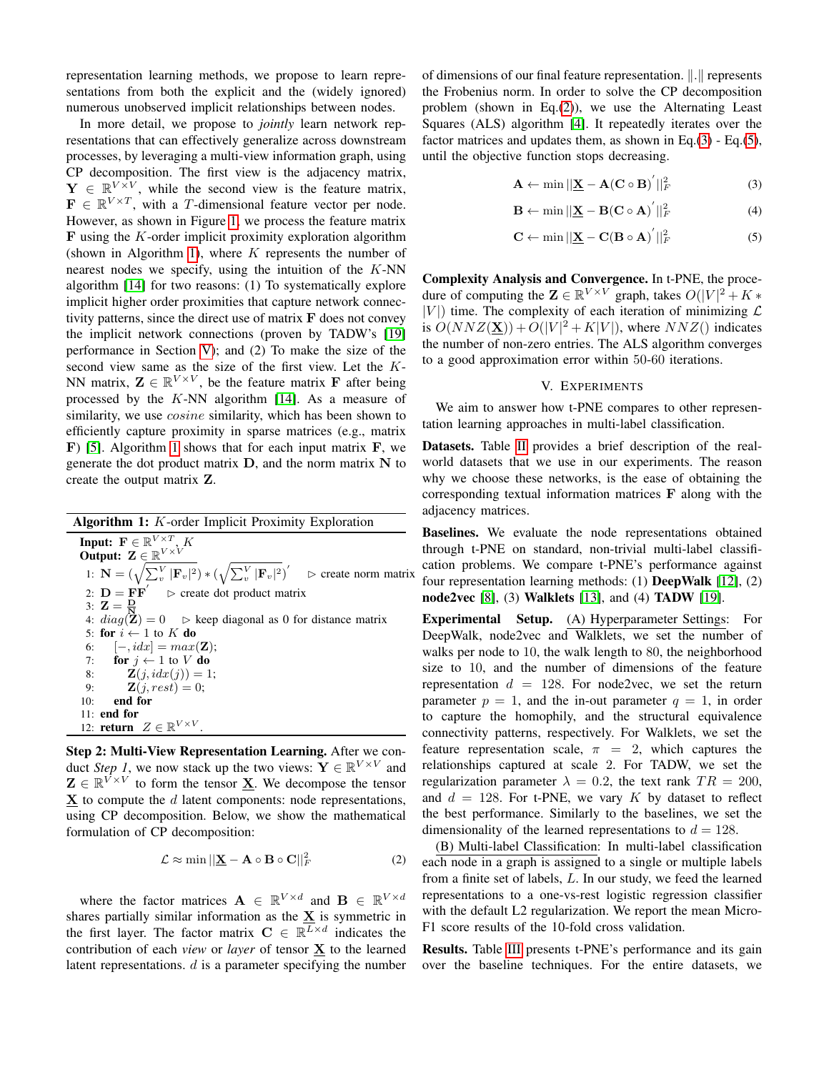representation learning methods, we propose to learn representations from both the explicit and the (widely ignored) numerous unobserved implicit relationships between nodes.

In more detail, we propose to *jointly* learn network representations that can effectively generalize across downstream processes, by leveraging a multi-view information graph, using CP decomposition. The first view is the adjacency matrix,  $\mathbf{Y} \in \mathbb{R}^{V \times V}$ , while the second view is the feature matrix,  $\mathbf{F} \in \mathbb{R}^{V \times T}$ , with a *T*-dimensional feature vector per node. However, as shown in Figure [1,](#page-0-0) we process the feature matrix  **using the**  $K$ **-order implicit proximity exploration algorithm** (shown in Algorithm [1\)](#page-2-1), where  $K$  represents the number of nearest nodes we specify, using the intuition of the K-NN algorithm [\[14\]](#page-3-16) for two reasons: (1) To systematically explore implicit higher order proximities that capture network connectivity patterns, since the direct use of matrix  $\bf{F}$  does not convey the implicit network connections (proven by TADW's [\[19\]](#page-3-11) performance in Section [V\)](#page-2-0); and (2) To make the size of the second view same as the size of the first view. Let the K-NN matrix,  $\mathbf{Z} \in \mathbb{R}^{V \times V}$ , be the feature matrix **F** after being processed by the  $K-NN$  algorithm [\[14\]](#page-3-16). As a measure of similarity, we use *cosine* similarity, which has been shown to efficiently capture proximity in sparse matrices (e.g., matrix  $\bf{F}$ ) [\[5\]](#page-3-17). Algorithm [1](#page-2-1) shows that for each input matrix  $\bf{F}$ , we generate the dot product matrix  $D$ , and the norm matrix  $N$  to create the output matrix Z.

Algorithm 1:  $K$ -order Implicit Proximity Exploration Input:  $\mathbf{F} \in \mathbb{R}^{V \times T}$ , K Output:  $\mathbf{Z} \in \mathbb{R}^{V \times V}$ 1:  $\mathbf{N} = (\sqrt{\sum_v^V |\mathbf{F}_v|^2}) * (\sqrt{\sum_v^V |\mathbf{F}_v|^2})'$  $\triangleright$  create norm matrix 2:  $\mathbf{D} = \mathbf{F}\mathbf{F}'$  $\triangleright$  create dot product matrix 3:  $\mathbf{Z} = \frac{\mathbf{D}}{\mathbf{N}}$ 4:  $diag(\mathbf{Z}) = 0$   $\triangleright$  keep diagonal as 0 for distance matrix 5: for  $i \leftarrow 1$  to K do 6:  $[-, i dx] = max(\mathbf{Z});$ 7: for  $j \leftarrow 1$  to V do 8:  $\mathbf{Z}(j, idx(j)) = 1;$ 9:  $$ 10: end for 11: end for 12: **return**  $Z \in \mathbb{R}^{V \times V}$ .

<span id="page-2-1"></span>Step 2: Multi-View Representation Learning. After we conduct *Step 1*, we now stack up the two views:  $\mathbf{Y} \in \mathbb{R}^{V \times V}$  and  $\mathbf{Z} \in \mathbb{R}^{\overline{V} \times V}$  to form the tensor  $\underline{\mathbf{X}}$ . We decompose the tensor  $X$  to compute the  $d$  latent components: node representations, using CP decomposition. Below, we show the mathematical formulation of CP decomposition:

> <span id="page-2-2"></span> $\mathcal{L} \approx \min ||\mathbf{\underline{X}} - \mathbf{A} \circ \mathbf{B} \circ \mathbf{C}||_F^2$  $(2)$

where the factor matrices  $\mathbf{A} \in \mathbb{R}^{V \times d}$  and  $\mathbf{B} \in \mathbb{R}^{V \times d}$ shares partially similar information as the  $\underline{\mathbf{X}}$  is symmetric in the first layer. The factor matrix  $C \in \mathbb{R}^{L \times d}$  indicates the contribution of each *view* or *layer* of tensor X to the learned latent representations.  $d$  is a parameter specifying the number of dimensions of our final feature representation.  $\Vert . \Vert$  represents the Frobenius norm. In order to solve the CP decomposition problem (shown in Eq.[\(2\)](#page-2-2)), we use the Alternating Least Squares (ALS) algorithm [\[4\]](#page-3-8). It repeatedly iterates over the factor matrices and updates them, as shown in Eq.[\(3\)](#page-2-3) - Eq.[\(5\)](#page-2-4), until the objective function stops decreasing.

<span id="page-2-3"></span>
$$
\mathbf{A} \leftarrow \min ||\mathbf{\underline{X}} - \mathbf{A}(\mathbf{C} \circ \mathbf{B})^{'}||_F^2 \tag{3}
$$

$$
\mathbf{B} \leftarrow \min ||\mathbf{\underline{X}} - \mathbf{B(C \circ A)}^{'}||_F^2 \tag{4}
$$

<span id="page-2-4"></span>
$$
\mathbf{C} \leftarrow \min ||\mathbf{\underline{X}} - \mathbf{C}(\mathbf{B} \circ \mathbf{A})^{'}||_F^2 \tag{5}
$$

Complexity Analysis and Convergence. In t-PNE, the procedure of computing the  $\mathbf{Z} \in \mathbb{R}^{V \times V}$  graph, takes  $O(|V|^2 + K^*)$  $|V|$ ) time. The complexity of each iteration of minimizing  $\mathcal L$ is  $O(NNZ(\underline{\mathbf{X}})) + O(|V|^2 + K|V|)$ , where  $NNZ()$  indicates the number of non-zero entries. The ALS algorithm converges to a good approximation error within 50-60 iterations.

## V. EXPERIMENTS

<span id="page-2-0"></span>We aim to answer how t-PNE compares to other representation learning approaches in multi-label classification.

Datasets. Table [II](#page-3-18) provides a brief description of the realworld datasets that we use in our experiments. The reason why we choose these networks, is the ease of obtaining the corresponding textual information matrices F along with the adjacency matrices.

Baselines. We evaluate the node representations obtained through t-PNE on standard, non-trivial multi-label classification problems. We compare t-PNE's performance against four representation learning methods: (1) DeepWalk [\[12\]](#page-3-3), (2) node2vec [\[8\]](#page-3-4), (3) Walklets [\[13\]](#page-3-7), and (4) TADW [\[19\]](#page-3-11).

Experimental Setup. (A) Hyperparameter Settings: For DeepWalk, node2vec and Walklets, we set the number of walks per node to 10, the walk length to 80, the neighborhood size to 10, and the number of dimensions of the feature representation  $d = 128$ . For node2vec, we set the return parameter  $p = 1$ , and the in-out parameter  $q = 1$ , in order to capture the homophily, and the structural equivalence connectivity patterns, respectively. For Walklets, we set the feature representation scale,  $\pi = 2$ , which captures the relationships captured at scale 2. For TADW, we set the regularization parameter  $\lambda = 0.2$ , the text rank  $TR = 200$ , and  $d = 128$ . For t-PNE, we vary K by dataset to reflect the best performance. Similarly to the baselines, we set the dimensionality of the learned representations to  $d = 128$ .

(B) Multi-label Classification: In multi-label classification each node in a graph is assigned to a single or multiple labels from a finite set of labels, L. In our study, we feed the learned representations to a one-vs-rest logistic regression classifier with the default L2 regularization. We report the mean Micro-F1 score results of the 10-fold cross validation.

Results. Table [III](#page-3-19) presents t-PNE's performance and its gain over the baseline techniques. For the entire datasets, we